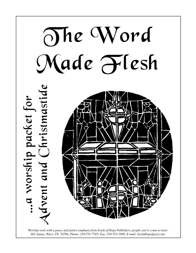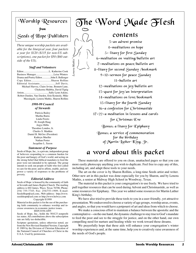### Worship Resources from

### Seeds of Hope Publishers

*These unique worship packets are available for the liturgical year, four packets a year for \$120 (\$135 for non-US subscriptions), one packet for \$50 (\$60 outside of the US).*

#### *Staff and Volunteers*

Lenora Mathis *Lenora Mathis*

#### *1998-99 Council of Stewards*

Patricia Bailey Martha Burns Linda Freeto H. Joseph Haag Argye Hillis Theodore Londos, Jr. Charles S. Madden Daniel B. McGee (President) Kathryn Mueller Nathan Porter Jacquline L. Saxon

#### *Statement of Purpose*

Seeds of Hope, Inc., is a private, independent group of believers responding to a common burden for the poor and hungry of God's world, and acting on the strong belief that biblical mandates to feed the poor were not intended to be optional. The group intends to seek out people of faith who feel called to care for the poor; and to affirm, enable, and empower a variety of responses to the problems of poverty.

#### *Editorial Address*

Seeds of Hope is housed by the community of faith at Seventh and James Baptist Church. The mailing address is 602 James, Waco, Texas 76706; Phone: 254/ 755-7745; Fax: 254/753-1909; E-mail: SeedsHope@aol.com.; Web address: http://www. seedshope@aol.com or http://www.helwys.com Copyright ©1999

Material in this packet is for the use of the purchasing faith community to enhance worship and increase awareness in economic justice issues. ISSN 0194-4495

Seeds of Hope, Inc., holds the 501C/3 nonprofit tax status. All contributions above the subscription rate are fully tax-deductible.

Scripture quotations, unless otherwise noted, are from the New Revised Standard Version, Copyright © 1989 by the Division of Christian Education of the National Council of Churches of Christ in the U.S.A. Used by permission.

# The Word Made Flesh

### contents

3-an advent promise 4-meditations on hope 5- litany for first Sunday 6-meditation on waiting/bulletin art 7-meditations on peace/bulletin art 8-litany for second Sunday /bookmark 9-10-sermon for peace Sunday 11-bulletin art 12-meditations on joy/bulletin art 13-quest for joy/an interpretation 14-meditations on love/bookmark 15-litany for the fourth Sunday 16-a confession for Christmastide 17-22-a meditation in lessons and carols for Christmas Eve Bonus: a litany for Epiphany

Bonus: a service of commemoration for the birthday of Martin Luther King, Jr.

### a word about this packet

These materials are offered to you on clean, unattached pages so that you can more easily photocopy anything you wish to duplicate. Feel free to copy any of this, including art, and adapt these tools to your needs.

The art on the cover is by Sharon Rollins, a long-time Seeds artist and writer. Other new art in this packet was done especially for you by Sharon, and by Lenora Mathis, a senior at Midway High School in Woodway, Texas.

The material in this packet is your congregation's to use freely. We have tried to pull together resources that can be used during Advent and Christmastide, as well as some resources for Epiphany. This year we added some resources for Martin Luther King's birthday.

We have also tried to provide these tools to you in a user-friendly, yet attractive presentation. We endeavored to choose a variety of age groups, worship areas, events, and angles, so that you would have a potpourri of art and ideas from which to choose.

We make a conscious effort to maintain a balance between the apostolic and the contemplative—on the one hand, the dynamic challenge to stay true to God's mandate to feed the poor and see to the struggle for justice, and on the other hand, our own compelling need for nurture and healing while we work toward those dreams.

We prayerfully hope that these aids will enhance your congregation's winter worship experiences and, at the same time, help you to creatively raise awareness of the needs of God's people.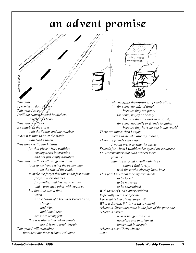# an advent promise

Lenora Mathis *Lenora Mathis*

*This year I promise to do it befter This year I swear I will not slouch toward Bethlehem like Yeats's beast. This year I will not Be caught in the stores with the Santas and the reindeer When it is time to be at the stable with God's sheep This time I will search harder for that place where tradition encompasses incarnation and not just empty nostalgia. This year I will not allow agenda anxiety to keep me from seeing the beaten man on the side of the road, to make me forget that this is not just a time for festive encounters, for families and friends to gather and warm each other with eggnog; but that it is also a time when, as the Ghost of Christmas Present said, Hunger and Want and Loneliness are most keenly felt; that it is also a time when people are driven to total despair. This year I will remember that there are those whom God loves*



*who have not the resources of celebration; for some, no gifts of tinsel because they are poor; for some, no joy or beauty because they are broken in spirit; for some, no family or friends to gather because they have no one in this world. There are times when I enjoy seeing those who already abound; There are friends with whom I would prefer to sing the carols, Friends for whom I would rather spend my resources. I must remember that God expects more from me than to surround myself with those whom I find lovely, with those who already know love. This year I must balance my own needs to be loved to be nurtured to be entertained— With those of God's other children. Especially their need for me. For what is Christmas, anyway? What is Advent, if it is not Incarnation? Advent is Christ incarnate in the face of the poor one. Advent is Christ, who is hungry and cold homeless and imprisoned lonely and in despair. Advent is also Christ...in me. —lkc*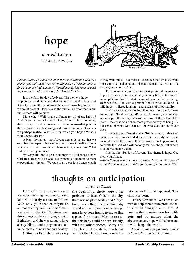

*Editor's Note: This and the other three meditations like it (see peace, joy, and love) were originally used as introductions to four evenings of Advent music (abendmusik). They can be used in print, or as calls to worship for Advent Sundays.*

It is the first Sunday of Advent. The theme is hope. Hope is the subtle indicator that we look forward in time. But it's not just a matter of looking ahead—looking beyond where we are at present. Hope is also the subtle indicator that in our future there will be more.

More what? Well, that's different for all of us, isn't it? And oh so important for each of us. After all, it is the hopes, the dreams, deep down inside us that focus us—that point in the direction of our becoming, and thus reveal more of us than we perhaps realize. What is it for which you hope? What is your deepest dream?

Advent invites us—no, Advent demands of us, that we examine our hopes—that we become aware of the direction in which we're headed—that we claim, in fact, who we are. What is it for which you hope?

We wrap this time of year in attempts to fulfill hopes. Under Christmas trees will be wide assortments of attempts to meet expectations—dreams. We want to give our loved ones what it

is they want most—but most of us realize that what we want most can't be packaged and placed under a tree with a little card saying who it's from.

There is some sense that our most profound dreams and hopes are the ones we can actually do very little in the way of accomplishing. And oh what a sense of dis-ease that can bring. Here we are, filled with a premonition of what could be—a wild hope—a fierce longing—and a sense of impossibility.

And then a voice cries in the wilderness—into our darkness comes light. Good news. God's news. Ultimately, you see, God is our hope. Ultimately, the sense we have of the potential for more—the sense of a richer, more profound way of being—is our sense of what God can do—of who God can be in our lives.

Advent is the affirmation that God is at work—that God created us with hopes and dreams that can only be met in encounter with the divine. It is time—time to hope—time to celebrate the God who will not only meet our hope, but exceed it to unimaginable extent.

It is the first Sunday of Advent. The theme is hope. God bless you. Amen.

*—John Ballenger is a minister in Waco, Texas and has served as the drama and poetry editor for Seeds of Hope since 1991.*

## thoughts on anticipation

I don't think anyone would say it was easy traveling over dusty, barren land with barely a road to follow. With only your feet or maybe an animal to carry you. But this time it was even harder. On Christmas eve, this young couple was trying to get to Bethlehem and she was about to have a baby. Nine months pregnant and out in the middle of nowhere on a donkey.

Getting to Bethlehem was only

#### *by David Tatum*

the beginning, there were other problems to face. Once in the city, there was no place to stay and Mary's body was telling her that this baby would not wait much longer. Joseph must have been frantic trying to find a place for him and Mary to rest so that this baby could be born. Finally, with no other choice, Mary and Joseph settled in a stable. Surely this was not the place to bring a new life into the world. But it happened. This child was born.

Every Christmas Eve I am filled with anticipation for the promise that this child brought with him. A promise that no matter how hectic life gets and no matter what the circumstances, hope will be born and it will change the world.

*—David Tatum is a furniture maker in Greensboro, North Carolina.*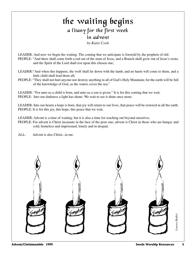### the waiting begins a litany for the first week in advent

*by Katie Cook*

LEADER: And now we begin the waiting. The coming that we anticipate is foretold by the prophets of old: PEOPLE: "And there shall come forth a rod out of the stem of Jesse, and a Branch shall grow out of Jesse's roots; and the Spirit of the Lord shall rest upon this chosen one;

LEADER:"And when this happens, the wolf shall lie down with the lamb, and no harm will come to them, and a little child shall lead them all;

PEOPLE: "They shall not hurt anyone nor destroy anything in all of God's Holy Mountain; for the earth will be full of the knowledge of God, as the waters cover the sea."

LEADER: "For unto us a child is born, and unto us a son is given." It is for this coming that we wait. PEOPLE: Into our darkness a light has shone. We wait to see it shine once more.

LEADER: Into our hearts a hope is born, that joy will return to our lives, that peace will be restored in all the earth. PEOPLE: It is for this joy, this hope, this peace that we wait.

LEADER: Advent is a time of waiting, but it is also a time for reaching out beyond ourselves.

PEOPLE: For advent is Christ incarnate in the face of the poor one; advent is Christ in those who are hungry and cold, homeless and imprisoned, lonely and in despair.

ALL: Advent is also Christ...in me.

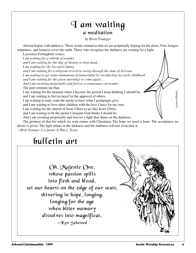# I am waiting a meditation

*by Brett Younger*

Advent begins with darkness. These weeks remind us that we are perpetually hoping for the dawn. Fear, hunger, emptiness, and lostness cover the earth. Those who recognize the darkness are waiting for a light.

Lawrence Ferlinghetti writes; *I am waiting for a rebirth of wonder, and I am waiting for the Age of Anxiety to drop dead… I am waiting for the Second Coming and I am waiting for a religious revival to sweep through the state of Arizona… I am waiting to get some intimations of immortality by recollecting my early childhood and I am waiting for the green mornings to come again… And I am awaiting perpetually and forever a renaissance of wonder.* The poet reminds me that; I am waiting for the moment when I become the person I keep thinking I should be, *Lenora Mathis*Lenora Mathi. and I am waiting to feel no need for the approval of others. I am waiting to truly want the needy to have what I grudgingly give, and I am waiting to love other children with the love I have for my own. I am waiting for the church of Jesus Christ to act like Jesus Christ, and I am waiting to be the pastor I imagine God thinks I should be. And I am awaiting perpetually and forever a light that shines in the darkness. The promise of that for which we wait comes with Christmas. The hope we need is born. The acceptance we desire is given. The light shines in the darkness and the darkness will not overcome it.

*—Brett Younger is a pastor in Waco, Texas.*

## bulletin art

Oh, Majestic One, whose passion spills into flesh and blood, set our hearts on the edge of our seats, shivering in hope, longing, longing for the age when bitter memory dissolves into magnificat. —Ken Sehested

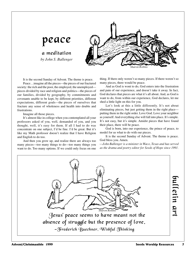

a meditation *by John S. Ballenger*



It is the second Sunday of Advent. The theme is peace.

Peace…imagine all the pieces—the pieces of our fractured society: the rich and the poor, the employed, the unemployed pieces divided by race and religion and politics—the pieces of our families, divided by geography, by commitments and covenants unable to be kept, by different priorities, different expectations, different goals—the pieces of ourselves that fracture any sense of wholeness and health into doubts and frustrations.

Imagine all those pieces.

It's almost like in college when you contemplated all your professors asked of you, well, demanded of you, and you thought, well, it's easy for them. If all I had to do was concentrate on one subject, I'd be fine. I'd be great. But it's like my Math professor doesn't realize that I have Religion and English to do too.

And then you grow up, and realize there are always too many pieces—too many things to do—too many things you want to do. Too many options. If we could only focus on one thing. If there only weren't so many pieces. If there weren't so many pieces, there would be peace.

And as God is wont to do, God enters into the frustration and pain of our experience, and doesn't take it away. In fact, God declares that pieces are what it's all about. And, as God is want to do, from within our experience, God declares, let me shed a little light on this for you.

Let's look at this a little differently. It's not about eliminating pieces, but just getting them in the right place putting them in the right order. Love God. Love your neighbor as yourself. And everything else will fall into place. It's simple. It's not easy, but it's simple. Amidst pieces that have found their place, there will be peace.

God is born, into our experience, the prince of peace, to model for us what to do with our pieces.

It is the second Sunday of Advent. The theme is peace. God bless you. Amen.

*—John Ballenger is a minister in Waco, Texas and has served as the drama and poetry editor for Seeds of Hope since 1991.*

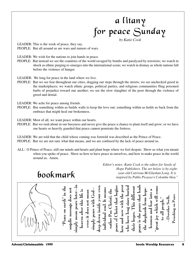## a litany for peace Sunday *by Katie Cook*

LEADER: This is the week of peace, they say. PEOPLE: But all around us are wars and rumors of wars.

LEADER: We wish for the nations to join hands in peace.

PEOPLE: But instead we see the countries of the world ravaged by bombs and paralyzed by terrorists; we watch in shock as ethnic purging re-emerges into the international scene; we watch in dismay as whole nations fall before the violence of hunger.

LEADER: We long for peace in the land where we live.

PEOPLE: But we see fear throughout our cities, dogging our steps through the streets; we see unchecked greed in the marketplaces; we watch ethnic groups, political parties, and religious communities fling poisoned barbs of prejudice toward one another; we see the slow slaughter of the poor through the violence of greed and denial.

LEADER: We ache for peace among friends.

PEOPLE: But something within us builds walls to keep the love out; something within us holds us back from the embrace that might heal our brokenness.

LEADER: Most of all, we want peace within our hearts.

PEOPLE: But we rush about in our busyness and never give the peace a chance to plant itself and grow; or we have our hearts so heavily guarded that peace cannot penetrate the fortress.

LEADER: We are told that the child whose coming was foretold was described as the Prince of Peace. PEOPLE: But we are not sure what that means, and we are confused by the lack of peace around us.

ALL: O Prince of Peace, still our minds and hearts and plant hope where we feel despair. Show us what you meant when you spoke of peace. Show us how to have peace in ourselves, and how to make peace in the world around us. Amen.

## bookmark

*Editor's notes: Katie Cook is the editor for Seeds of Hope Publishers. The art below is by eightyear-old Catriona McGlashan Long. It is inspired by Pablo Picasso's Colombe bleu."*

Advent/Christmastide 1999<br>
Mean Christmastic contractions are determined by the secon carrier in the secon carrier in the second angle<br>
imply mean peace does not mean peace later—in the second second term in the second se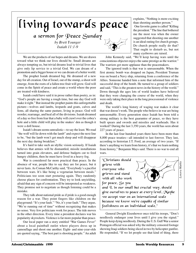

We are the products of our hopes and dreams. We are drawn toward what we think our lives should be. Small dreams are always tempting us, but trivial dreams lead to trivial lives that give only lip service to a trivial God. We can dream of a promotion and a bigger house or we can dream of a better world.

The prophet Isaiah dreamed big. He dreamed of a new day for all creation. Out of Israel, out of the stump, a shoot will emerge, from the roots of a fallen tree fruit will grow. God will come in the Spirit of peace and create a world where the poor are treated with kindness.

Isaiah could have said it in prose rather than poetry, as in: "God's people are having a rough time, but one day God will make it right." But instead the prophet paints this unforgettable picture—wolves and lambs, leopards and goats, calves and lions, all sharing the same pasture, living in peace. God will reorder, rearrange, and heal all of the divisions. Isaiah dreamed of a day so free from fear that a baby will crawl over the cobra's hole and a little child will play in the snakes' den as though it were a doll house.

Isaiah's dream seems unrealistic—to say the least. We read "the wolf will lie down with the lamb" and expect the next line to be, "but the lamb won't get much sleep and will disappear the next day during breakfast."

It's hard to take such an idyllic vision seriously. If Isaiah believes that armies will be dismantled, missile installations turned into grain elevators, and defense budgets cut to feed hungry children, then he must have lived in a heavy fog.

War is considered far more practical than peace. In the absence of war, people like to say they are for peace, but it never lasts. As Coman McCarthy said, "Everybody's a pacifist between wars. It's like being a vegetarian between meals." Politicians too soon start posturing again. They randomly choose places for confrontation. They try to look unyielding, afraid that any sign of concern will be interpreted as weakness. They promise not to negotiate as though listening could be a mistake.

They talk about national pride as if pride is a good enough reason for a war. They point fingers like children on the playground: "It's your fault." "No, it's your fault." They argue, "We're running out of time" without recognizing that makes no sense. Very few politicians work for peace. The tide moves in the other direction. Every time a president declares war his popularity skyrockets. Violence is far more popular than peace.

Our local paper ran a story entitled "War Games Fever" about a local paintball outlet where players dress up in camouflage and shoot one another. Eight- and nine-year-olds are quoted saying, "The best part is shooting people." An adult explains, "Nothing is more exciting than shooting another person."

One favorite game is called "Killing the president." The line that bothered me the most was when the owner suggested that shooting one another is an ideal outing for church groups. Do church people really do that? That ought to disturb us, but not many eyebrows are raised.

John Kennedy said, "We'll keep having wars until the conscientious objector enjoys the same prestige as the warrior." The warriors get more applause than the peacemakers.

The ignored truth is that war is unreasonable. When the first atomic bomb was dropped on Japan, President Truman was on board a Navy ship, returning from a conference of the Allies. Someone handed him a note that informed him of the successful drop of the bomb. He turned to a group of soldiers and said, "This is the greatest news in the history of the world." Down through the ages lots of world leaders have believed that they were changing the course of the world, when they were only taking their place in the long processional of violence and death.

The world's long history of waging war makes it clear that war doesn't work. The people who believe in war are being unreasonable. Every generation since Isaiah has been told a strong military is the best guarantee of peace, so they have built spears and swords and missiles and warheads. Has it worked? During the last 3,350 years, the world has seen about 227 years of peace.

In the last four hundred years there have been more than 8,000 peace treaties—all intended to last forever. They last, according to historian J.T. Ford, an average of two years. "If there's anything we learn from history, it's that we learn nothing from history," Benjamin Mays said. There is no war to end all wars.

"Christians should grieve with everyone who grieves and stand with all who work for peace. So you



Lenora Mathis *Lenora Mathis*

and I, in our small but crucial way, should give ourselves to peace at every level. Maybe we accept war on an international scale because we know we're capable of similar foolishness on an individual scale."

General Dwight Eisenhower once told his troops, "Don't needlessly endanger your lives until I give you the signal." People keep dying needlessly. During the U.S. Gulf War a senior Pentagon official was asked why the military censored footage showing Iraqi soldiers being sliced in two by helicopter gunfire. He responded, "If we let people see that kind of thing, there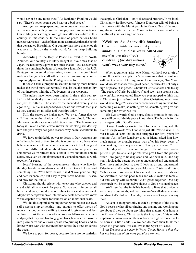would never be any more wars." As Benjamin Franklin would say, "There's never been a good war or a bad peace."

And yet we keep spending our money on weapons that will never do what they promise. We pay more and more taxes. Our military gets stronger. We fight war after war—five in this country, in this century. In the name of peace nations build nuclear warheads—each of them more destructive than the bomb that devastated Hiroshima. Our country has more than enough weapons to destroy the whole world. Yet we keep building bombs.

According to the Baptist Peace Fellowship of North America, our country's military budget is five times that of Japan, the next largest power, ten times that of Russia, seventeen times the combined budgets of the nations identified by the U.S. Pentagon as potential adversaries, more than the combined military budgets for all other nations, and—maybe most surprisingly—more than the Pentagon asks for.

It doesn't take a prophet to see that building more bombs makes the world more dangerous. It may be that the probability of war increases with the effectiveness of our weapons.

The stakes have never been higher. In the eighth century BCE soldiers died just as dead as they do now. Parents' tears ran just as bitterly. The cries of the wounded were just as agonizing. Politicians depended on spears and swords then just as they depend on missiles and warships today.

Still, the stakes are higher now. We try to forget that we still live under the shadow of a mushroom cloud. Thomas Merton wrote this about our addiction to war: "The human race today is like an alcoholic who knows that drinking will destroy him and yet always has good reasons why he must continue to drink."

We have unthinkable power to destroy. Our weapons are unbelievably destructive. So who is more realistic, those who believe in war or or those who believe in peace? People of good will have different ideas about how to achieve peace, so sometimes we're reticent to talk about it. We should be able to agree, however, on our abhorrence of war and our need to work together for peace.

Jesus' blessing of the peacemakers—those who live for the day Isaiah dreamed—is central to the Gospel. Jesus said something like, "You have heard it said 'Love your country and hate its enemies,' but I say to you 'Love Saddam Hussein and pray for the Iraqis.'"

Christians should grieve with everyone who grieves and stand with all who work for peace. So you and I, in our small but crucial way, should give ourselves to peace at every level. Maybe we accept war on an international scale because we know we're capable of similar foolishness on an individual scale.

We should stop misdirecting our anger to bolster our own self-esteem; stop criticizing long enough to offer words of reconciliation; be more willing to extend forgiveness and less willing to think the worst of others. We should love our enemies and pray that they will live long, good lives, beat our own swords into plowshares and our own spears into pruning hooks, and no longer wage war with our neighbor across the street or across the ocean.

We have to push for peace, because there are no statistics

that apply to Christians—only sisters and brothers. In his book Christianity Rediscovered, Vincent Donovan tells of being a missionary with the Masai people in Kenya. One of the most significant gestures for the Masai is to offer one another a handful of grass as a sign of peace.



When arguments arise, one Masai will hold out a tuft of grass. If the other accepts it, it's the assurance that no violence will erupt because of the argument. Donovan says, "No Masai would violate that sacred sign of peace, because it's not only a sign of peace; it is peace." Shouldn't Christians be able to say "The peace of Christ be with you" and see it as a promise that we won't kill one another? Have you ever stopped to think that if Christians just refused to kill other Christians, most wars would never begin? Peace can become something we wish for, something we make, something we do, something we give and something for which we live.

We live towards God's hope. God's promise is not that there will be worldwide peace in our time. The hope is for the extravagant gift of God's peace.

George Lansbury worked hard for peace in England. He lived through World War I and died just after World War II. To most it would seem that he had struggled for forty years for nothing. Just before Lansbury died, a friend asked him how much nearer he thought peace was after his forty years of peacemaking. Lansbury answered, "Forty years nearer."

One day all of those in charge of the old world—the generals, politicians, and priests who profit from the present order—are going to be displaced and God will rule. One day you'll look at the parent you never understood and understand. Even more miraculously, they'll look at us and understand. Palestinians and Israelis, Serbs and Moslems, Tutsies and Hutus, Catholics and Protestants, Chinese and Tibetans, liberals and conservatives, rich and poor, black and white, male and female, old and young will celebrate God's grace together. One day the church will be completely sold out to God's vision of peace.

We'll see that the invisible boundary lines that divide us were only in our minds, and that those we've called our enemies are also God's children. One day nations won't wage war any more.

Advent is an opportunity to catch a glimpse of the vision. God's peace is what all our singing and praying and worshipping are about if they're about anything that matters. Our hope is the Prince of Peace. Christmas is the invasion of this utterly implausible vision—a gentleness from on high so tender as to be born in a little child. So we can do more than think that peace is a good idea. We can live in the Spirit of Peace. *—Brett Younger is a pastor in Waco, Texas. He says that this has not been one of his more popular sermons.*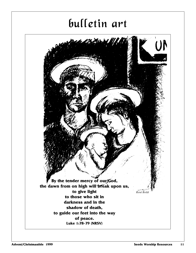# bulletin art

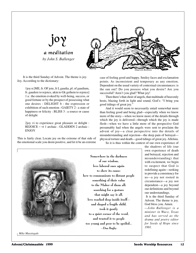

It is the third Sunday of Advent. The theme is joy. Joy. According to the dictionary:

> 1joy n [ME, fr. OF joie, fr L gaudia, pl. of gaudium, fr. gaudere to rejoice, akin to Gk gethein to rejoice] 1 a : the emotion evoked by well-being, success, or good fortune or by the prospect of possessing what one desires : DELIGHT b : the expression or exhibition of such emotion : GAIETY 2 : a state of happiness or felicity : BLISS 3 : a source or cause of delight

> 2joy vi to experience great pleasure or delight : REJOICE ~ vt 1 archaic : GLADDEN 2 archaic : ENJOY

This is fairly clear. Locate joy on the extreme of that side of the emotional scale you deem positive, and let it be an extreme

case of feeling good and happy. Smiley faces and exclamation points. As inconsistent and temporary as any emotion. Dependent on the usual variety of contextual circumstances: is the sun out? Do you possess what you desire? Are you successful? Aren't you glad? What joy!

Then there's that choir of angels, that multitude of heavenly hosts, blazing forth in light and sound, God's: "I bring you good tidings of great joy."

And it would seem to necessarily entail somewhat more than feeling good and being glad—especially when we know more of the story—when we know more of the details through which the joy is delivered—through which the joy is made flesh—when we have a little more of the perspective God presumably had when the angels were sent to proclaim the advent of joy—a clear perspective into the details of misunderstanding and rejection—the deep pain of betrayal physical torture and death—good tidings of great joy. Alleluia.

So it is thus within the context of our own experience of



*Mike Massingale*

Somewhere in the darkness of our wisdom, love labored once again to show its cause: how to communicate to distant people something of their value to the Maker of them all; searching for a gesture that might say it all, love reached deep inside itself and shaped a fragile child, took it gently to a quiet corner of the word, and trusted it to people too young and poor to be spoiled... —Dan Bagby

the shadows of life (our own experience of death and betrayal, rejection and misunderstanding) that with excitement, we begin to suspect that God is redefining again—seeking to provide a consistency for us—a joy not rooted in circumstance—a joy not dependent—a joy beyond our definitions and beyond our understandings.

It is the third Sunday of Advent. The theme is joy. God bless you. Amen.

*—John Ballenger is a minister in Waco, Texas and has served as the drama and poetry editor for Seeds of Hope since 1991.*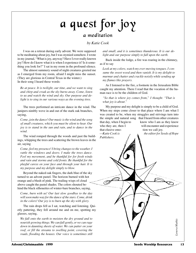# a quest for joy

### a meditation

#### *by Katie Cook*

I was on a retreat during early advent. We were supposed to be meditating about joy, but I was stymied somehow. I wrote in my journal, "What is joy, anyway? Have I ever really known joy? How do I know what it is when I experience it? Is it something you look for?" I sat in my room in the profound silence.

The almost summery sound of night creatures greeted me as I emerged from my room, afraid I might miss the sunset. (They are glorious in Central Texas in the winter.) In their song I heard these words:

*Be at peace. It is twilight, our time, and we want to sing and chirp and croak as the sky burns away. Come, listen to us and watch the wind and sky. Our purpose and delight is to sing in our various ways as the evening tires.*

The trees performed an intricate dance in the wind. The junipers nimbly wove in and out of the stark oak branches, saying,

*Come, join the dance! Our music is the wind and the song of small creatures, which you must be silent to hear. Our joy is to stand in the sun and rain, and to dance in the wind.*

The wind romped through the woods and past the buildings, whipping the trees and scattering the brown leaves in the air, saying

*Come, feel my presence! I bring changes to the weather. I rattle the windows and doors. I make the trees dance. Feel my movement, and be thankful for for fresh winds and rain and storms and cold fronts. Be thankful for the playful caress on your face and through your hair. It is my purpose and my delight simply to blow.*

Beyond the naked oak fingers, the dark blue of the sky turned to an advent pastel. The horizon burned with hot orange and a blush of pink. The trailing wisps of cloud above caught the pastel shades. The colors shouted behind the black silhouettes of winter-bare branches, saying,

*Come, burn with us! Our last slow goodbye to the day will soon make way for the dance of the stars. Come, drink in the colors! Our joy is to burn up the sky with glory.*

The rain drops fell as I sat, watching and listening. Quietly pattering, they fell around me and on me, spotting my glasses, saying,

*We fall onto the earth to moisten the dry ground and to nourish growing things. We can fall gently, or we can rage down in daunting sheets of water. We can patter on your roof, or fill the streams to swelling point, covering the roads, flooding the houses. Our voice is sometimes still* *and small, and it is sometimes thunderous. It is our delight and our purpose simply to fall upon the earth.*

Back inside the lodge, a fire was roaring in the chimney, as if to say

*Look at my colors, watch my ever-moving tongues. I consume the sweet wood and then vanish. It is my delight to murmur and chatter and crackle noisily while sending up my flames like prayers.*

As I listened to the fire, a footnote in the Jerusalem Bible caught my attention. There I read that the vocation of the human race is to be the children of God.

*"So that is where joy comes from," I thought. "That is what joy is about."*

My purpose and my delight is simply to be a child of God. When my steps come closer to that place where I am what I was created to be, when my struggles and strivings turn into the simple and natural song that I heard from other creatures that day, when I begin to know who I am as they know who they are, then I will encounter and experience that elusive emo-<br>tion we call joy. *—Katie Cook is the editor for Seeds of Hope*



Lenora Mathis *Lenora Mathis*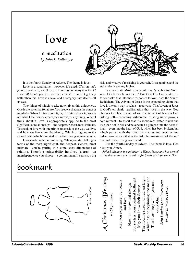# love

## a meditation

*by John S. Ballenger*



It is the fourth Sunday of Advent. The theme is love.

Love is a superlative—however it's used. C'm'on, let's go see this movie, you'll love it! Have you seen my new truck? I love it! Don't you just love ice cream? It doesn't get any better than this. Love is a level and a category unto itself—all its own.

Two things of which to take note, given this uniqueness. One is the potential for abuse. You see, we cheapen the concept regularly. When I think about it, or, if I think about it, love is not what I feel for ice cream, or a movie, or any thing. When I think about it, love is appropriately applied to the most significant of relationships—the deepest, richest, most intimate. To speak of love with integrity is to speak of the way we live, and how we live more abundantly. Which brings us to the second point which is related to the first, being an inverse of it.

Love can be rather intimidating. When you start talking in terms of the most significant, the deepest, richest, most intimate—you're getting into some scary dimensions of relating. There's a vulnerability involved (a trust—an interdependence you choose—a commitment. It's a risk, a big

risk, and what you're risking is yourself. It's a gamble, and the stakes don't get any higher.

Is it worth it? Most of us would say "yes, but for God's sake, let's be careful out there." But it's not for God's sake. It's for our sake that into these responses to love, rises the Star of Bethlehem. The Advent of Jesus is the astounding claim that love is the only way to relate—to anyone. The Advent of Jesus is God's emphatic reaffirmation that love is the way God chooses to relate to each of us. The Advent of Jesus is God risking self—becoming vulnerable, trusting us to prove a commitment—to assert that it's sometimes better to risk and lose than not to risk and never catch a glimpse into the heart of it all—even into the heart of God, which has been broken, but which pulses with the love that creates and sustains and redeems—the love that is the risk, the investment of the self that makes our living worthwhile.

It is the fourth Sunday of Advent. The theme is love. God bless you. Amen.

*—John Ballenger is a minister in Waco, Texas and has served as the drama and poetry editor for Seeds of Hope since 1991.*

## bookmark

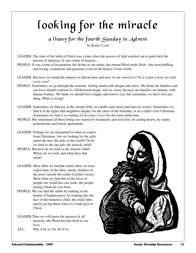# looking for the miracle

### a litany for the fourth Sunday in Advent

*by Katie Cook*

- LEADER: The time of the birth of Christ was a time when the powers of light reached out to push back the powers of darkness. It was a time of miracle...
- PEOPLE: It was a time of incarnation, the divine in our midst, the eternal Word made flesh—the most baffling and loving, scandalous and generous event in the history of our world.
- LEADER: But have we found the miracle in Advent here and now, in our own lives? Or is it just a story we read every year?
- PEOPLE: Sometimes we go through the motions, feeling numb with fatigue and stress. We think our families and our lives should conform to a Hollywood image, and we worry because our families are human, with human frailties. We think we should feel a happy and festive way, but sometimes we don't feel anything. What is wrong?
- LEADER: Sometimes we find joy in the steeple bells, in candles and carols and nativity scenes. Sometimes we find it in the lights that neighbors display for the cheer of the beholder, or in a child's first Christmas. Sometimes we find it in reading *A Christmas Carol* for the forty-ninth time.
- PEOPLE: But sometimes all these things are marred by headaches and tired feet, by aching hearts, by empty pocketbooks and lonely apartments.
- LEADER: Perhaps we are misguided in what we expect from Christmas. Are we looking for the gifts under the tree, the gifts of the world? Or do we look to the one gift, the miracle child?
- PEOPLE: But how do we look to the miracle child? Where do we look, and what does that mean?
- LEADER: Most often we find the child where we least expect him: in the dirty, unruly children of the poor, outside the realm of polite society. Most often we find him in the faces of people our world has cast aside, the people among whom he was born.
- PEOPLE: We can find the stable by looking in the haunts of hopelessness, by looking into the face of the homeless child, the crack baby, and by giving them what we would give to Christ.
- LEADER:Then we will know the greatest of all miracles, the Word become flesh in our lives.
- ALL: May it be so, for all of us.

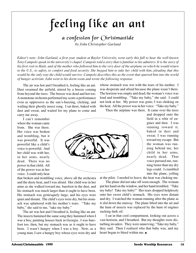# feeling like an ant

### a confession for Christmastide

*by John Christopher Garland*

*Editor's note: John Garland, a first-year student at Baylor University, went early this fall to hear the well-known Tony Campolo speak in the university's chapel. Campolo told a story that is familiar to his admirers. It is the story of his first visit to Haiti, and of the mother who followed him to the very door of the airplane on which he would return to the U.S., to safety, to comfort and food security. She begged him to take her child with him, pleading that this would be the only way the child would survive. Campolo describes this as the event that spurred him into the world of hunger activism. John went to his dorm room and wrote the following response.*

The air was hot and I breathed it, feeling like an ant. Dust swarmed the airfield, stirred by a breeze coming from beyond the trees. The breeze was dead and hot too. A monotone orchestra performed my score-a performance even as oppressive as the sun's-buzzing, clicking, and wailing their ghostly insect song. I sat there, baked with dust and sweat, and waited for my plane to come and carry me away.

I can't remember where the woman came from. She was there. Her voice was broken and trembling, but it was powerful. It was powerful like a child's voice is powerful. And her child was with her, in her arms, nearly dead. There was no power in that child. All of the power was in her voice. I could only hear

that broken and trembling voice, above all the orchestra and the dusty heat, and I was afraid. Her child was in her arms as she walked toward me, barefoot in the dust, and his stomach was much larger than it ought to have been. His stomach was grotesquely large, and his eyes were quiet and distant. The child's eyes were dry, but his stomach was splattered with his mother's tears. "Take my baby," she said to me, "take my baby."

The air was hot and I breathed it, feeling like an ant. The insects hummed the same song they hummed when I was a boy, painting houses back in Georgia. I was barefoot too, then, but my stomach was as it ought to have been. I wasn't hungry when I was a boy. Now, as a young man, I saw a hungry boy whose eyes were dry and

whose stomach was wet with the tears of his mother. I was desperate and afraid because the plane wasn't there. The horizon was empty and dead; the woman's voice was loud and trembling. "Take my baby," she said. I could not look at her. My power was gone; I was choking on the heat. All the power was in her voice. "Take my baby."

Then the airplane was there. It came over the trees



and dropped onto the field in a whir of engines and dust. I was running toward it, baked in dust and sweat; I was running toward my escape. But the woman was running behind me, her child in her arms, nearly dead. That voice pursued me, running faster than my dry legs could. I crumbled into the plane, yelling

at the pilot. I needed to leave; the heat was choking me.

The plane did not take off soon enough. The woman put her hand on the window, and her hand trembled. "Take my baby! Take my baby!" Her tears dropped helplessly onto her sweet child's stomach. His eyes were distant and dry. I watched the woman running after the plane as it slid down the runway. The plane lifted into the air and the hum of insects was replaced by the hum of engines sucking dark oil.

I sat in that cool compartment, looking out across a vast horizon, and I breathed. But my thoughts were disturbing invaders. They were unnerving; "Take my baby," they said. Then I realized who that baby was, and my heart began to bleed within me. ■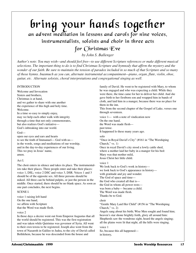# bring your hands together

an advent meditation in lessons and carols for nine voices, instrumentalists, soloists and choir in three acts

### for Christmas Eve

*by John S. Ballenger*

*Author's note: You may wish—and should feel free—to use different Scripture references or make different musical selections. The important thing to do is to find Christmas Scripture and hymnody that affirm the mystery and the wonder of our faith. Be sure to maintain the tension of paradox included in so much of that Scripture and so many of those hymns. Inasmuch as you can, alternate instrumental accompaniment—piano, organ, flute, violin, oboe, guitar, etc. Alternate soloists, choral interpretations and congregational singing as well.*

#### INTRODUCTION

Welcome and Invocation Sisters and brothers, Christmas is at hand, and we gather to share with one another the experience of this high and holy time. Welcome. In a time so easy to simply enjoy, may we help each other walk with integrity through a time that not only commemorates,

but also realizes God's initiative—

God's inbreaking into our world.

#### God—

open our eyes and ears and hearts to see the truth of Immanuel— God with us in the words, songs and meditations of our worship, and in the day-to-day experiences of our living. This we pray in Jesus' name, amen.

#### Act I.

The choir enters in silence and takes its place. The instrumentalists take their places. Three people enter and take their places: voice 1, DSL; voice 2 DSC and voice 3, DSR. Voices 1 and 3 should be of the opposite sex. All three persons should be miked. All three can be behind pulpits, or just the person in the middle. Once started, there should be no blank space. As soon as one part concludes, the next begins.

#### SCENE I.

voice 1 raising left hand On the one hand, we affirm with Scripture that the Word was made flesh.

#### voice 2

In those days a decree went out from Emperor Augustus that all the world should be registered. This was the first registration and was taken while Quirinius was governor of Syria. All went to their own towns to be registered. Joseph also went from the town of Nazareth in Galilee to Judea, to the city of David called Bethlehem, because he was descended from the house and

family of David. He went to be registered with Mary, to whom he was engaged and who was expecting a child. While they were there, the time came for her to deliver her child. And she gave birth to her firstborn son and wrapped him in bands of cloth, and laid him in a manger, because there was no place for them in the inn.

This from the second chapter of the Gospel of Luke, verses one through seventeen.

voice 1— with a note of vindication now On the one hand,

the Word was made flesh past tense. It happened lo these many years ago.

solo

"Once in Royal David's City" (#161 in "The Worshiping Church," vs. 1) Once in royal David's city stood a lowly cattle shed,

where a mother laid her baby in a manger for his bed: Mary was that mother mild, Jesus Christ her little child.

#### voice 1

We look back to God's work in history we look back to God's appearance in history with gratitude and joy and wonder. The God of space and time the God who created all that is the God in whom all power rests was born a baby— became a child. The Word was made flesh. Thanks be to God.

choir

"Gentle Mary Laid Her Child" (#156 in "The Worshiping Church," vs. 2)

Angels sang about his birth; Wise Men sought and found him; heaven's star shone brightly forth, glory all around him: Shepherds saw the wondrous sight, heard the angels singing; all the plains were lit that night, all the hills were ringing.

voice 1

So, because this all happened in history,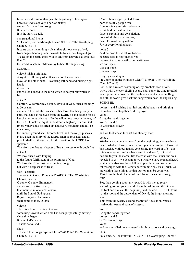because God is more than just the beginning of history because God is actively a part of history we testify in word and song. It is our witness.

It is the story we tell.

congregational hymn

"It Came upon the Midnight Clear" (#170 in "The Worshiping Church," vs. 1)

It came upon the midnight clear, that glorious song of old,

from angels bending near the earth to touch their harps of gold: "Peace on the earth, good-will to all, from heaven's all gracious King":

the world in solemn stillness lay to hear the angels sing.

#### SCENE II.

voice 3 raising left hand

Alright, so all that past stuff was all on the one hand.

Now, on the other hand,—lowering left hand and raising right hand)

it is advent,

and we look ahead to the birth which is not yet but which will be.

#### voice 2

Comfort, O comfort my people, says your God. Speak tenderly to Jerusalem,

and cry to her that she has served her term, that her penalty is paid, that she has received from the LORD's hand double for all her sins. A voice cries out: "In the wilderness prepare the way of the LORD, make straight in the desert a highway for our God. Every valley shall be lifted up, and every mountain and hill be made low;

the uneven ground shall become level, and the rough places a plain. Then the glory of the LORD shall be revealed, and all people shall see it together, for the mouth of the LORD has spoken."

This from the fortieth chapter of Isaiah, verses one through five.

#### voice 3

We look ahead with longing

to the future fulfillment of the promises of God. We look ahead not just with longing though, but with a deep sense of trust.

solo—acapella

"O Come, O Come, Emmanuel" (#133 in "The Worshiping Church," vs. 1)

O come, O come, Emmanuel, and ransom captive Israel, that mourns in lonely exile here until the Son of God appear. Rejoice! rejoice! Emmanuel shall come to thee, O Israel!

voice 3

There is a future that is not yet something toward which time has been purposefully moving since time began. It is in God's hands.

Thanks be to God.

#### choir

"Come, Thou Long-Expected Jesus" (#135 in "The Worshiping Church," vs. 1)

Come, thou long-expected Jesus, born to set thy people free; from our fears and sins release us; let us find our rest in thee. Israel's strength and consolation, hope of all the earth thou art; dear Desire of every nation, Joy of every longing heart.

#### voice 3

And because this is all yet to be because God is not finished yet because the story is still being written we anticipate. It is our hope. It is our prayer.

congregational hymn

"It Came upon the Midnight Clear" (#170 in "The Worshiping Church," vs. 3)

For lo, the days are hastening on, by prophets seen of old, when, with the ever-circling years, shall come the time foretold, when peace shall over all the earth its ancient splendors fling, and all the world give back the song which now the angels sing.

#### SCENE III.

voices 1 and 3 raising both left and right hands and bringing them down and together as if in prayer voice 1

Bring the hands together

voices 1 and 3

in Christmas prayer,

voice 3 and we look ahead to what has already been.

voice 2

We declare to you what was from the beginning, what we have heard, what we have seen with our eyes, what we have looked at and touched with our hands, concerning the word of life—this life was revealed, and we have seen it and testify to it, and declare to you the eternal life that was with the Father and was revealed to us— we declare to you what we have seen and heard so that you also may have fellowship with us; and truly our fellowship is with the Father and with his Son Jesus Christ. We are writing these things so that our joy may be complete. This from the first chapter of First John, verses one through four.

See, I am coming soon; my reward is with me, to repay according to everyone's work. I am the Alpha and the Omega, the first and the last, the beginning and the end. . . . It is I, Jesus . . . the root and the descendant of David, the bright morning star.

This from the twenty-second chapter of Revelation, verses twelve, thirteen and parts of sixteen.

voice 3 Bring the hands together voices 1 and 3 in Christmas prayer, voice 1 and we are called now to attend a birth two thousand years ago. choir

"O Come, All Ye Faithful" (#173 in "The Worshiping Church,"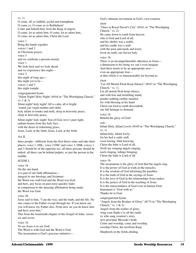#### vs. 1)

O come, all ye faithful, joyful and triumphant, O come ye, O come ye to Bethlehem! Come and behold him, born the King of angels; O come, let us adore him, O come, let us adore him, O come, let us adore him, Christ the Lord.

#### voice 1

Bring the hands together voices 1 and 3 in Christmas prayer, voice 3 and we celebrate a present eternal. voice 1 We look back and we look ahead and we experience this night voice 3 this night of long ago this night yet to be voices 1 and 3 this night tonight.

congregational hymn "Silent Night! Holy Night! (#164 in "The Worshiping Church," vs. 1 & 3) Silent night! holy night! All is calm, all is bright 'round yon virgin mother and child, holy infant so tender and mild, sleep in heavenly peace, sleep in heavenly peace.

Silent night! holy night! Son of God, love's pure light, radiant beams from thy holy face, with the dawn of redeeming grace, Jesus, Lord, at thy birth, Jesus, Lord, at thy birth.

#### Act II.

three people—different from the first three) enter and take their places: voice 1, DSL; voice 2 DSC and voice 3, DSR. voices 1 and 3 should be of the opposite sex. all three persons should be miked. all three can be behind pulpits, or just the person in the middle.

#### SCENE I.

voice 1b On the one hand, it is part of our faith affirmation integral to our theology and Scripture: the Word was with God and the Word was God. and here, any focus on past tense quickly fades in comparison to the amazing affirmation being made: the Word was God.

#### voice 2b

Jesus said to him, "I am the way, and the truth, and the life. No one comes to the Father except through me. If you know me, you will know my Father also. From now on you do know him and have seen him."

This from the fourteenth chapter of the Gospel of John, verses six and seven.

#### voice 1b

To see Jesus is to see God. The Word is with God and the Word is God. The incarnation is God's gracious initiativeGod's ultimate investment in God's own creation. choir "Once in Royal David's City" (#161 in "The Worshiping Church," vs. 2) He came down to earth from heaven who is God and Lord of all, and his shelter was a stable, and his cradle was a stall: with the poor and meek and lowly lived on earth, our Savior holy. voice 1b There is an incomprehensible otherness to Jesus a dimension to his being we can't even imagine. And there needs to be an appropriate awe even an appropriate fear at that which is so immeasurably far beyond us. choir "Let All Mortal Flesh Keep Silence" (#167 in "The Worshiping Church," vs. 1) Let all mortal flesh keep silence, and with fear and trembling stand; ponder nothing earthly-minded, for with blessing in his hand Christ our God to earth descendeth, our full homage to demand. voice 1b Behold the glory of God! solo Infant Holy, Infant Lowly (#169 in "The Worshiping Church," vs. 1) Infant holy, infant lowly, for his bed a cattle stall;

oxen lowing, little knowing Christ the babe is Lord of all. Swift are winging angels singing, noels ringing, tidings bringing: Christ the babe is Lord of all.

#### voice 1b

The incarnation is the glory of God that the angels sing. It is the power of God at work in the miracles. It is the wisdom of God informing the parables. It is the truth of God in the sayings of Jesus. It is the love of God in the relationships Jesus makes. It is the justice of God in the teaching of Jesus. It is the transcendance of God even in human form. Immanuel is "God with us." Thanks be to God. congregational hymn "Angels from the Realms of Glory" (#174 in "The Worshiping Church," vs. 1 & 2) Angels from the realms of glory, wing your flight o'er all the earth; ye who sang creation's story, now proclaim Messiah's birth:

Come and worship, come and worship,

worship Christ, the newborn King.

Shepherds in the fields abiding,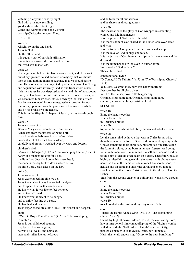watching o'er your flocks by night, God with us is now residing, yonder shines the infant Light: Come and worship, come and worship, worship Christ, the newborn King.

#### SCENE II.

voice 3b Alright, so on the one hand, Jesus is God. On the other hand, it is equally part of our faith affirmation just as integral to our theology and Scripture: the Word was made flesh.

#### voice 2b

For he grew up before him like a young plant, and like a root out of dry ground; he had no form or majesty that we should look at him, nothing in his appearance that we should desire him. He was despised and rejected by others; a man of suffering and acquainted with infirmity; and as one from whom others hide their faces he was despised, and we held him of no account. Surely he has borne our infirmities and carried our diseases; yet we accounted him stricken, struck down by God, and affliced. But he was wounded for our transgressions, crushed for our iniquities; upon him was the punishment that made us whole, and by his bruises we are healed.

This from the fifty-third chapter of Isaiah, verses two through five.

voice 3b

Jesus was one of us.

Born to Mary as we were born to our mothers. Exhausted from the process of being born, like all newborn babies— like all of us did he spent a lot of his first hours asleep, carefully and proudly watched over by Mary and Joseph.

children's choir

"Away in a Manger" (#147 in "The Worshiping Church," vs. 1) Away in a manger, no crib for a bed, the little Lord Jesus laid down his sweet head; the stars in the sky looked down where he lay, the little Lord Jesus asleep on the hay.

#### voice 3b

Jesus was one of us. Jesus experienced life like we do. Jesus knew what it was like to feel lonely and to spend time with close friends. He knew what it was like to feel betrayed and to feel affirmed. He knew what it meant to be hungry and to enjoy feasting at a party. He laughed and he cried. Jesus experienced life at its fullest— its richest and deepest. choir "Once in Royal David's City" (#161 in "The Worshiping Church," vs. 3) Jesus is our childhood pattern, day by day like us he grew, he was little, weak, and helpless, tears and smiles like us he knew:

and he feels for all our sadness, and he shares in all our gladness.

voice 3b

The incarnation is the glory of God wrapped in swaddling clothes and laid in a manger.

It is the power of God made vulnerable.

It is the wisdom of God shared at the dinner table over bread and wine.

It is the truth of God pointed out in flowers and sheep. It is the love of God in hugs and touch.

It is the justice of God in relationships with the unclean and the despised.

It is the immanence of God even in human form.

Immanuel is "God with us."

Thanks be to God.

congregational hymn

"O Come, All Ye Faithful" (#173 in "The Worshiping Church," vs. 4)

Yea, Lord, we greet thee, born this happy morning,

Jesus, to thee be all glory given;

Word of the Father, now in flesh appearing;

O come, let us adore him, O come, let us adore him,

O come, let us adore him, Christ the Lord.

SCENE III.

voice 1b

Bring the hands together

voices 1b and 3b

in Christmas prayer voice 3b

to praise the one who is both fully human and wholly divine.

voice 2b

Let the same mind be in you that was in Christ Jesus, who, though he was in the form of God, did not regard equality with God as something to be exploited, but emptied himself, taking the form of a slave, being born in human likeness. And being found in human form, he humbled himself and became obedient to the point of deathó even death on a cross. Therefore God also highly exalted him and gave him the name that is above every name, so that at the name of Jesus every knee should bend, in heaven and on earth and under the earth, and every tongue should confess that Jesus Christ is Lord, to the glory of God the Father.

This from the second chapter of Philippians, verses five through eleven.

voice 3b Bring the hands together voices 1b and 3b in Christmas prayer voice 1b to acknowledge the profound mystery of our faith. choir "Hark! the Herald Angels Sing" (#171 in "The Worshiping Church," vs. 2) Christ, by highest heaven adored, Christ, the everlasting Lord, late in time behold him come, offspring of the Virgin's womb: veiled in flesh the Godhead see; hail th'incarnate Deity, pleased as man with us to dwell, Jesus, our Emmanuel. Hark! the herald angels sing, "Glory to the new-born King."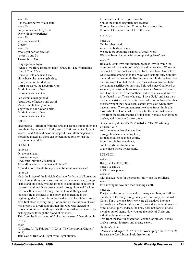voice 1b It is the distinctive of our faith. voice 3b Fully human and fully God. One with our experience voice 1b yet also beyond it. Creator voice 3b who is yet part of creation. voices 1b and 3b Thanks be to God.

congregational hymn "Angels We Have Heard on High" (#152 in "The Worshiping Church," vs.  $3 & 4$ ) Come to Bethlehem and see him whose birth the angels sing; come, adore on bended knee Christ the Lord, the newborn King. Gloria in excelsis Deo, Gloria in excelsis Deo.

See within a manger laid Jesus, Lord of heaven and earth! Mary, Joseph, lend your aid, sing with us our Savior's birth. Gloria in excelsis Deo, Gloria in excelsis Deo.

#### Act III.

three people—different from the first and second three) enter and take their places: voice 1, DSL; voice 2 DSC and voice 3, DSR. voices 1 and 3 should be of the opposite sex. all three persons should be miked. all three can be behind pulpits, or just the person in the middle.

#### SCENE I.

voice 1c

On the one hand,

Jesus was unique.

And Jesus' mission was unique.

After all, who else is human and divine? Around whom else do time past and time future coalesce?

voice 2c

He is the image of the invisible God, the firstborn of all creation; for in him all things in heaven and on earth were created, things visible and invisible, whether thrones or dominions or rulers or powers—all things have been created through him and for him. He himself is before all things, and in him all things hold together. He is the head of the body, the church; he is the beginning, the firstborn from the dead, so that he might come to have first place in everything. For in him all the fullness of God was pleased to dwell, and through him God was pleased to reconcile to himself all things, whether on earth or in heaven, by making peace through the blood of his cross.

This from the first chapter of Colossians, verses fifteen through twenty.

#### choir

"O Come, All Ye Faithful" (#173 in "The Worshiping Church," vs. 2)

True God of true God, Light from Light eternal,

lo, he shuns not the virgin's womb; Son of the Father, begotten, not created; O come, let us adore him, O come, let us adore him, O come, let us adore him, Christ the Lord.

#### SCENE II.

voice 3c On the other hand, we are the body of Jesus. We are to be about the business of Jesus' work. We have been charged with accomplishing Jesus' task.

#### voice 2c

Beloved, let us love one another, because love is from God; everyone who loves is born of God and knows God. Whoever does not love does not know God, for God is love. God's love was revealed among us in this way: God sent his only Son into the world so that we might live through him. In this is love, not that we loved God but that he loved us and sent his Son to be the atoning sacrifice for our sins. Beloved, since God loved us so much, we also ought to love one another. No one has ever seen God; if we love one another, God lives in us, and his love is perfected in us. Those who say, "I love God," and hate their brothers or sisters, are liars; for those who do not love a brother or sister whom they have seen, cannot love God whom they have not seen. The commandment we have from him is this: those who love God must love their brothers and sisters also. This from the fourth chapter of First John, verses seven through twelve, and twenty and twenty-one.

"Once in Royal David's City" (#161 in "The Worshiping Church," vs. 4) And our eyes at last shall see him, through his own redeeming love; for that child, so dear and gentle, is our Lord in heaven above,

and he leads his children on to the place where he has gone.

#### SCENE III.

voices 1c Bring the hands together voices 1c and 3c in Christmas prayer voice 3c with thanksgiving for the responsibility and the privilege voice 1c for showing us how and then sending us off.

voice 2c

For just as the body is one and has many members, and all the members of the body, though many, are one body, so it is with Christ. For in the one Spirit we were all baptized into one body—Jews or Greeks, slaves or free—and we were all made to drink of one Spirit. Indeed, the body does not consist of one member but of many. Now you are the body of Christ and individually members of it.

This from the twelfth chapter of Second Corinthians, verses twelve through fourteen and twenty-seven.

#### children's choir

"Away in a Manger" (#147 in "The Worshiping Church," vs. 3) Be near me, Lord Jesus; I ask thee to stay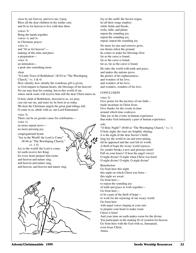close by me forever, and love me, I pray. Bless all the dear children in thy tender care, and fit us for heaven to live with thee there.

voices 3c Bring the hands together voices 1c and 3c in Christmas prayer voice 1c and "fit us for heaven" making of this time and place a preparation voice 3c an intimation a peek into something more.

#### choir

"O Little Town of Bethlehem" (#154 in "The Worshiping Church," vs.  $3 \& 4$ ) How silently, how silently the wondrous gift is given; so God imparts to human hearts, the blessings of his heaven! No ear may hear his coming, but in this world of sin,

where meek souls will receive him still the dear Christ enters in.

O holy child of Bethlehem, descend to us, we pray; cast out our sin, and enter in; be born in us today. We hear the Christmas angels the great glad tidings tell; O come to us, abide with us, our Lord Emmanuel.

#### voice 3c

There can be no greater cause for celebration voice 1c no more urgent news no more pressing joy.

congregational hymn

"Joy to the World! the Lord is Come" (#146 in "The Worshiping Church,"

vs. 1-4) Joy to the world! the Lord is come; let earth receive her King; let every heart prepare him room, and heaven and nature sing, and heaven and nature sing, and heaven, and heaven and nature sing.



Joy to the earth! the Savior reigns; let all their songs employ; while fields and floods, rocks, hills, and plains repeat the sounding joy, repeat the sounding joy, repeat, repeat the sounding joy.

No more let sins and sorrows grow, nor thorns infest the ground; he comes to make his blessings flow far as the curse is found, far as the curse is found, far as, far as the curse is found.

He rules the world with truth and grace, and makes the nations prove the glories of his righteousness, and wonders of his love, and wonders of his love, and wonders, wonders of his love.

#### **CONCLUSION**

voice 2c Give praise for the mystery of our faith made incarnate in Christ Jesus. Give thanks for the events in time around which time coalesces. Take joy in the events in human experience that make God intimately a part of human experience.

solo

"O Holy Night!" (#160 in "The Worshiping Church," vs. 1) O holy night, the stars are brightly shining, it is the night of the dear Savior's birth; long lay the world in sin and error pining, till he appeared and the soul felt its worth. A thrill of hope the weary world rejoices, for yonder breaks a new and glorious morn! Fall on your knees! O hear the angel voices! O night divine! O night when Christ was born! O night divine! O night, O night divine!

Benediction Go from here this night this night on which Christ was born this night we await. Go from here to repeat the sounding joy of truth and grace at work together— Go from here to be a part of the thrill of hope to work for the rejoicing of our weary world. Go from here with angel voices ringing in your ears to prepare your heart to make room. Christ is born! And your time on earth makes room for the divine. You participate in the making fit of creation for heaven. Go from here with the God with us, Immanuel, even Jesus Christ, Amen.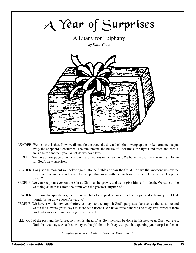

- LEADER: Well, so that is that. Now we dismantle the tree, take down the lights, sweep up the broken ornaments, put away the shepherd's costumes. The excitement, the bustle of Christmas, the lights and trees and carols, are gone for another year. What do we have left?
- PEOPLE: We have a new page on which to write, a new vision, a new task. We have the chance to watch and listen for God's new surprises.
- LEADER: For just one moment we looked again into the Stable and saw the Child. For just that moment we saw the vision of love and joy and peace. Do we put that away with the cards we received? How can we keep that vision?
- PEOPLE: We can keep our eyes on the Christ Child, as he grows, and as he give himself in death. We can still be watching as he rises from the tomb with the greatest surprise of all.
- LEADER: But now the sparkle is gone. There are bills to be paid, a house to clean, a job to do. January is a bleak month. What do we look forward to?
- PEOPLE: We have a whole new year before us: days to accomplish God's purposes, days to see the sunshine and watch the flowers grow, days to share with friends. We have three hundred and sixty-five presents from God, gift-wrapped, and waiting to be opened.
- ALL: God of the past and the future, so much is ahead of us. So much can be done in this new year. Open our eyes, God, that we may see each new day as the gift that it is. May we open it, expecting your surprise. Amen.

*(adapted from W.H. Auden's "For the Time Being")*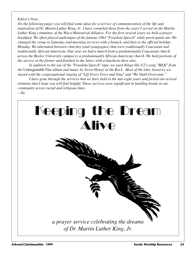*Editor's Note:*

*On the following pages you will find some ideas for a service of commemoration of the life and inspiration of Dr. Martin Luther King, Jr. I have compiled these from the years I served on the Martin Luther King committee of the Waco Ministerial Alliance. For the first several years we held a prayer breakfast. We often played audiotapes of the famous 1963 "Freedom Speech" while participants ate. We changed the venue to Saturday mid-morning services with a brunch, and then to the official holiday Monday. We alternated between churches (and synagogues) that were traditionally Caucasian and traditionally African-American. One year we had a march from a predominantly Caucasian church across the Baylor University campus to a predominantly African-American church. We held portions of the service in the former and finished in the latter, with a luncheon there also.*

*In addition to the use of the "Freedom Speech" tape, we used things like U2's song "MLK" from the* Unforgettable Fire *album and music by Sweet Honey in the Rock. Most of the time, however, we stayed with the congregational singing of "Lift Every Voice and Sing" and "We Shall Overcome."*

*I have gone through the services that we have held in the last eight years and picked out several elements that I hope you will find helpful. These services were significant in building bonds in our community across racial and religious lines. —lkc*

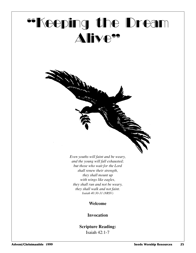# "Keeping the Dream Alive"

*Even youths will faint and be weary, and the young will fall exhausted; but those who wait for the Lord shall renew their strength, they shall mount up with wings like eagles, they shall run and not be weary, they shall walk and not faint. Isaiah 40:30-31 (NRSV)*

#### **Welcome**

#### **Invocation**

**Scripture Reading:** Isaiah 42:1-7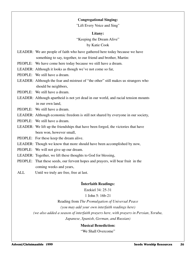#### **Congregational Singing:**

"Lift Every Voice and Sing"

#### **Litany:**

#### "Keeping the Dream Alive"

#### by Katie Cook

- LEADER: We are people of faith who have gathered here today because we have something to say, together, to our friend and brother, Martin:
- PEOPLE: We have come here today because we still have a dream.
- LEADER: Although it looks as though we've not come so far,
- PEOPLE: We still have a dream.
- LEADER: Although the fear and mistrust of "the other" still makes us strangers who should be neighbors,
- PEOPLE: We still have a dream.
- LEADER: Although apartheid is not yet dead in our world, and racial tension mounts in our own land,
- PEOPLE: We still have a dream.
- LEADER: Although economic freedom is still not shared by everyone in our society,
- PEOPLE: We still have a dream.
- LEADER: We lift up the friendships that have been forged, the victories that have been won, however small,
- PEOPLE: For these keep the dream alive.
- LEADER: Though we know that more should have been accomplished by now,
- PEOPLE: We will not give up our dream.
- LEADER: Together, we lift these thoughts to God for blessing,
- PEOPLE: That these seeds, our fervent hopes and prayers, will bear fruit in the coming weeks and years,
- ALL Until we truly are free, free at last.

#### **Interfaith Readings:**

Ezekiel 34: 25-31

#### 1 John 5: 16b-21

Reading from *The Promulgation of Universal Peace*

*(you may add your own interfaith readings here)*

*(we also added a season of interfaith prayers here, with prayers in Persian, Yoruba,*

*Japanese, Spanish, German, and Russian)*

#### **Musical Benediction:**

"We Shall Overcome"